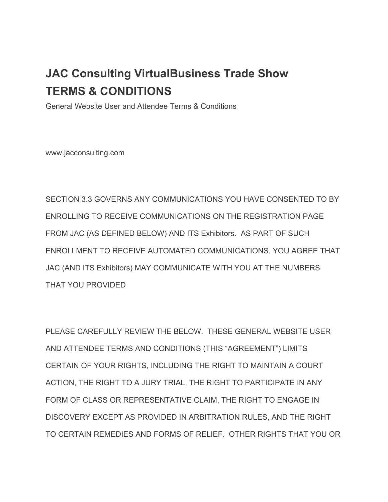# **JAC Consulting VirtualBusiness Trade Show TERMS & CONDITIONS**

General Website User and Attendee Terms & Conditions

www.jacconsulting.com

SECTION 3.3 GOVERNS ANY COMMUNICATIONS YOU HAVE CONSENTED TO BY ENROLLING TO RECEIVE COMMUNICATIONS ON THE REGISTRATION PAGE FROM JAC (AS DEFINED BELOW) AND ITS Exhibitors. AS PART OF SUCH ENROLLMENT TO RECEIVE AUTOMATED COMMUNICATIONS, YOU AGREE THAT JAC (AND ITS Exhibitors) MAY COMMUNICATE WITH YOU AT THE NUMBERS THAT YOU PROVIDED

PLEASE CAREFULLY REVIEW THE BELOW. THESE GENERAL WEBSITE USER AND ATTENDEE TERMS AND CONDITIONS (THIS "AGREEMENT") LIMITS CERTAIN OF YOUR RIGHTS, INCLUDING THE RIGHT TO MAINTAIN A COURT ACTION, THE RIGHT TO A JURY TRIAL, THE RIGHT TO PARTICIPATE IN ANY FORM OF CLASS OR REPRESENTATIVE CLAIM, THE RIGHT TO ENGAGE IN DISCOVERY EXCEPT AS PROVIDED IN ARBITRATION RULES, AND THE RIGHT TO CERTAIN REMEDIES AND FORMS OF RELIEF. OTHER RIGHTS THAT YOU OR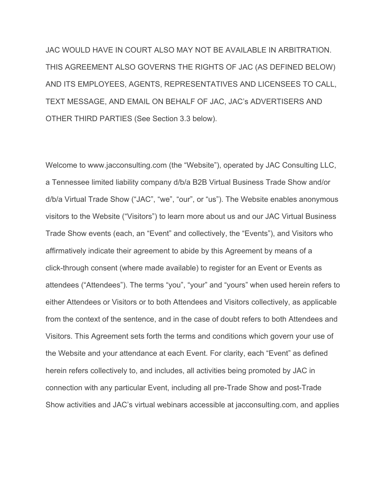JAC WOULD HAVE IN COURT ALSO MAY NOT BE AVAILABLE IN ARBITRATION. THIS AGREEMENT ALSO GOVERNS THE RIGHTS OF JAC (AS DEFINED BELOW) AND ITS EMPLOYEES, AGENTS, REPRESENTATIVES AND LICENSEES TO CALL, TEXT MESSAGE, AND EMAIL ON BEHALF OF JAC, JAC's ADVERTISERS AND OTHER THIRD PARTIES (See Section 3.3 below).

Welcome to www.jacconsulting.com (the "Website"), operated by JAC Consulting LLC, a Tennessee limited liability company d/b/a B2B Virtual Business Trade Show and/or d/b/a Virtual Trade Show ("JAC", "we", "our", or "us"). The Website enables anonymous visitors to the Website ("Visitors") to learn more about us and our JAC Virtual Business Trade Show events (each, an "Event" and collectively, the "Events"), and Visitors who affirmatively indicate their agreement to abide by this Agreement by means of a click-through consent (where made available) to register for an Event or Events as attendees ("Attendees"). The terms "you", "your" and "yours" when used herein refers to either Attendees or Visitors or to both Attendees and Visitors collectively, as applicable from the context of the sentence, and in the case of doubt refers to both Attendees and Visitors. This Agreement sets forth the terms and conditions which govern your use of the Website and your attendance at each Event. For clarity, each "Event" as defined herein refers collectively to, and includes, all activities being promoted by JAC in connection with any particular Event, including all pre-Trade Show and post-Trade Show activities and JAC's virtual webinars accessible at jacconsulting.com, and applies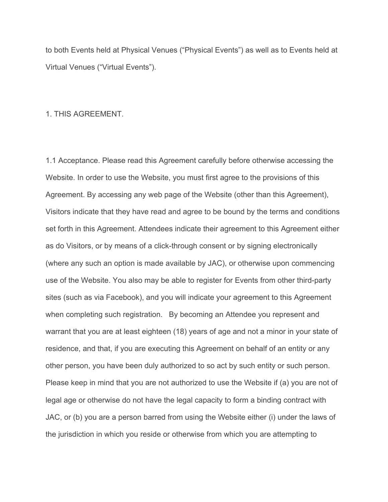to both Events held at Physical Venues ("Physical Events") as well as to Events held at Virtual Venues ("Virtual Events").

#### 1. THIS AGREEMENT.

1.1 Acceptance. Please read this Agreement carefully before otherwise accessing the Website. In order to use the Website, you must first agree to the provisions of this Agreement. By accessing any web page of the Website (other than this Agreement), Visitors indicate that they have read and agree to be bound by the terms and conditions set forth in this Agreement. Attendees indicate their agreement to this Agreement either as do Visitors, or by means of a click-through consent or by signing electronically (where any such an option is made available by JAC), or otherwise upon commencing use of the Website. You also may be able to register for Events from other third-party sites (such as via Facebook), and you will indicate your agreement to this Agreement when completing such registration. By becoming an Attendee you represent and warrant that you are at least eighteen (18) years of age and not a minor in your state of residence, and that, if you are executing this Agreement on behalf of an entity or any other person, you have been duly authorized to so act by such entity or such person. Please keep in mind that you are not authorized to use the Website if (a) you are not of legal age or otherwise do not have the legal capacity to form a binding contract with JAC, or (b) you are a person barred from using the Website either (i) under the laws of the jurisdiction in which you reside or otherwise from which you are attempting to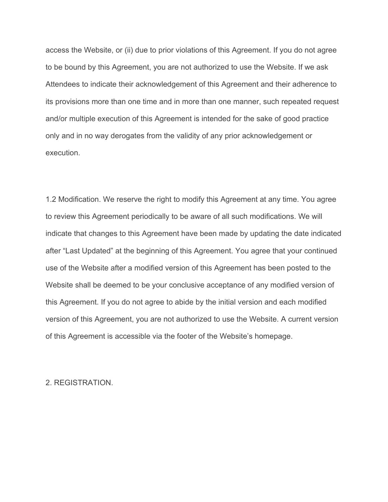access the Website, or (ii) due to prior violations of this Agreement. If you do not agree to be bound by this Agreement, you are not authorized to use the Website. If we ask Attendees to indicate their acknowledgement of this Agreement and their adherence to its provisions more than one time and in more than one manner, such repeated request and/or multiple execution of this Agreement is intended for the sake of good practice only and in no way derogates from the validity of any prior acknowledgement or execution.

1.2 Modification. We reserve the right to modify this Agreement at any time. You agree to review this Agreement periodically to be aware of all such modifications. We will indicate that changes to this Agreement have been made by updating the date indicated after "Last Updated" at the beginning of this Agreement. You agree that your continued use of the Website after a modified version of this Agreement has been posted to the Website shall be deemed to be your conclusive acceptance of any modified version of this Agreement. If you do not agree to abide by the initial version and each modified version of this Agreement, you are not authorized to use the Website. A current version of this Agreement is accessible via the footer of the Website's homepage.

2. REGISTRATION.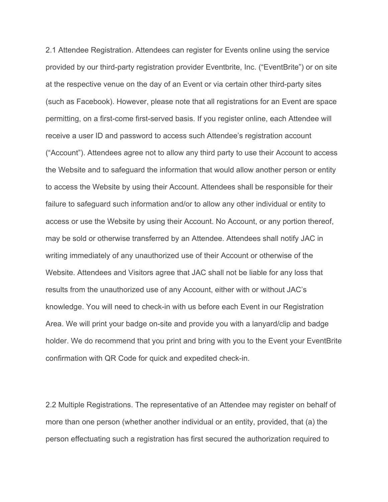2.1 Attendee Registration. Attendees can register for Events online using the service provided by our third-party registration provider Eventbrite, Inc. ("EventBrite") or on site at the respective venue on the day of an Event or via certain other third-party sites (such as Facebook). However, please note that all registrations for an Event are space permitting, on a first-come first-served basis. If you register online, each Attendee will receive a user ID and password to access such Attendee's registration account ("Account"). Attendees agree not to allow any third party to use their Account to access the Website and to safeguard the information that would allow another person or entity to access the Website by using their Account. Attendees shall be responsible for their failure to safeguard such information and/or to allow any other individual or entity to access or use the Website by using their Account. No Account, or any portion thereof, may be sold or otherwise transferred by an Attendee. Attendees shall notify JAC in writing immediately of any unauthorized use of their Account or otherwise of the Website. Attendees and Visitors agree that JAC shall not be liable for any loss that results from the unauthorized use of any Account, either with or without JAC's knowledge. You will need to check-in with us before each Event in our Registration Area. We will print your badge on-site and provide you with a lanyard/clip and badge holder. We do recommend that you print and bring with you to the Event your EventBrite confirmation with QR Code for quick and expedited check-in.

2.2 Multiple Registrations. The representative of an Attendee may register on behalf of more than one person (whether another individual or an entity, provided, that (a) the person effectuating such a registration has first secured the authorization required to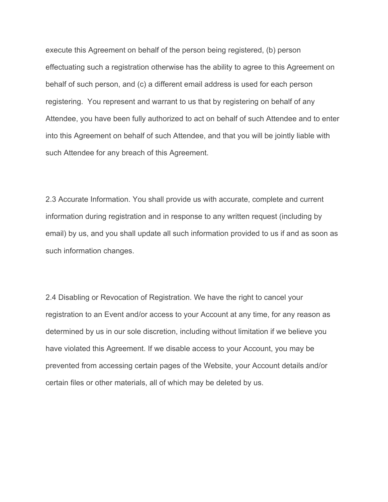execute this Agreement on behalf of the person being registered, (b) person effectuating such a registration otherwise has the ability to agree to this Agreement on behalf of such person, and (c) a different email address is used for each person registering. You represent and warrant to us that by registering on behalf of any Attendee, you have been fully authorized to act on behalf of such Attendee and to enter into this Agreement on behalf of such Attendee, and that you will be jointly liable with such Attendee for any breach of this Agreement.

2.3 Accurate Information. You shall provide us with accurate, complete and current information during registration and in response to any written request (including by email) by us, and you shall update all such information provided to us if and as soon as such information changes.

2.4 Disabling or Revocation of Registration. We have the right to cancel your registration to an Event and/or access to your Account at any time, for any reason as determined by us in our sole discretion, including without limitation if we believe you have violated this Agreement. If we disable access to your Account, you may be prevented from accessing certain pages of the Website, your Account details and/or certain files or other materials, all of which may be deleted by us.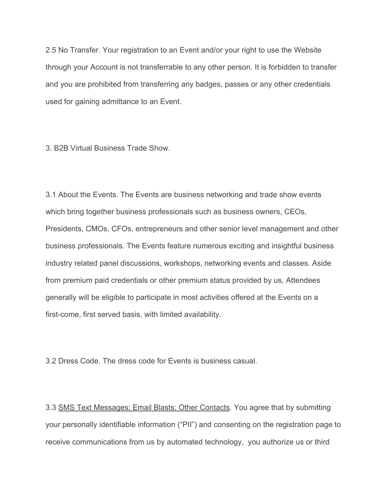2.5 No Transfer. Your registration to an Event and/or your right to use the Website through your Account is not transferrable to any other person. It is forbidden to transfer and you are prohibited from transferring any badges, passes or any other credentials used for gaining admittance to an Event.

3. B2B Virtual Business Trade Show.

3.1 About the Events. The Events are business networking and trade show events which bring together business professionals such as business owners, CEOs, Presidents, CMOs, CFOs, entrepreneurs and other senior level management and other business professionals. The Events feature numerous exciting and insightful business industry related panel discussions, workshops, networking events and classes. Aside from premium paid credentials or other premium status provided by us, Attendees generally will be eligible to participate in most activities offered at the Events on a first-come, first served basis, with limited availability.

3.2 Dress Code. The dress code for Events is business casual.

3.3 SMS Text Messages; Email Blasts; Other Contacts. You agree that by submitting your personally identifiable information ("PII") and consenting on the registration page to receive communications from us by automated technology, you authorize us or third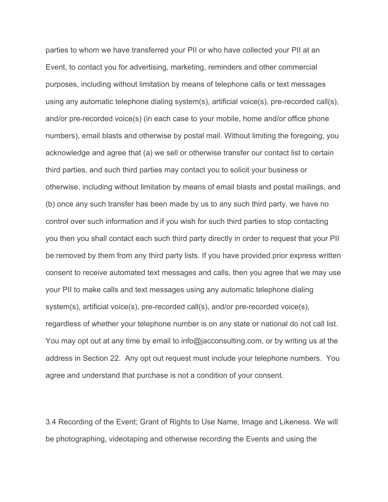parties to whom we have transferred your PII or who have collected your PII at an Event, to contact you for advertising, marketing, reminders and other commercial purposes, including without limitation by means of telephone calls or text messages using any automatic telephone dialing system(s), artificial voice(s), pre-recorded call(s), and/or pre-recorded voice(s) (in each case to your mobile, home and/or office phone numbers), email blasts and otherwise by postal mail. Without limiting the foregoing, you acknowledge and agree that (a) we sell or otherwise transfer our contact list to certain third parties, and such third parties may contact you to solicit your business or otherwise, including without limitation by means of email blasts and postal mailings, and (b) once any such transfer has been made by us to any such third party, we have no control over such information and if you wish for such third parties to stop contacting you then you shall contact each such third party directly in order to request that your PII be removed by them from any third party lists. If you have provided prior express written consent to receive automated text messages and calls, then you agree that we may use your PII to make calls and text messages using any automatic telephone dialing system(s), artificial voice(s), pre-recorded call(s), and/or pre-recorded voice(s), regardless of whether your telephone number is on any state or national do not call list. You may opt out at any time by email to info@jacconsulting.com, or by writing us at the address in Section 22. Any opt out request must include your telephone numbers. You agree and understand that purchase is not a condition of your consent.

3.4 Recording of the Event; Grant of Rights to Use Name, Image and Likeness. We will be photographing, videotaping and otherwise recording the Events and using the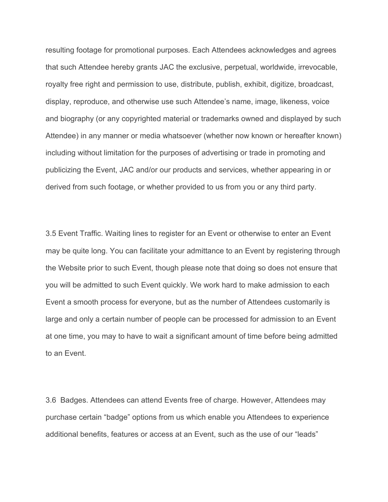resulting footage for promotional purposes. Each Attendees acknowledges and agrees that such Attendee hereby grants JAC the exclusive, perpetual, worldwide, irrevocable, royalty free right and permission to use, distribute, publish, exhibit, digitize, broadcast, display, reproduce, and otherwise use such Attendee's name, image, likeness, voice and biography (or any copyrighted material or trademarks owned and displayed by such Attendee) in any manner or media whatsoever (whether now known or hereafter known) including without limitation for the purposes of advertising or trade in promoting and publicizing the Event, JAC and/or our products and services, whether appearing in or derived from such footage, or whether provided to us from you or any third party.

3.5 Event Traffic. Waiting lines to register for an Event or otherwise to enter an Event may be quite long. You can facilitate your admittance to an Event by registering through the Website prior to such Event, though please note that doing so does not ensure that you will be admitted to such Event quickly. We work hard to make admission to each Event a smooth process for everyone, but as the number of Attendees customarily is large and only a certain number of people can be processed for admission to an Event at one time, you may to have to wait a significant amount of time before being admitted to an Event.

3.6 Badges. Attendees can attend Events free of charge. However, Attendees may purchase certain "badge" options from us which enable you Attendees to experience additional benefits, features or access at an Event, such as the use of our "leads"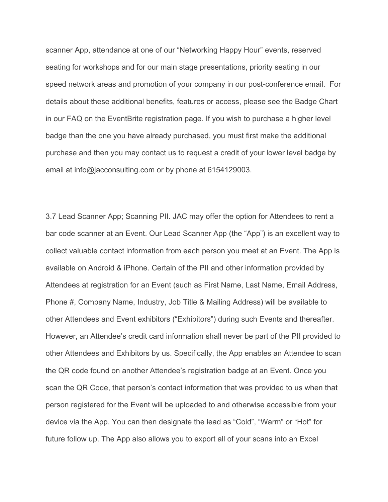scanner App, attendance at one of our "Networking Happy Hour" events, reserved seating for workshops and for our main stage presentations, priority seating in our speed network areas and promotion of your company in our post-conference email. For details about these additional benefits, features or access, please see the Badge Chart in our FAQ on the EventBrite registration page. If you wish to purchase a higher level badge than the one you have already purchased, you must first make the additional purchase and then you may contact us to request a credit of your lower level badge by email at info@jacconsulting.com or by phone at 6154129003.

3.7 Lead Scanner App; Scanning PII. JAC may offer the option for Attendees to rent a bar code scanner at an Event. Our Lead Scanner App (the "App") is an excellent way to collect valuable contact information from each person you meet at an Event. The App is available on Android & iPhone. Certain of the PII and other information provided by Attendees at registration for an Event (such as First Name, Last Name, Email Address, Phone #, Company Name, Industry, Job Title & Mailing Address) will be available to other Attendees and Event exhibitors ("Exhibitors") during such Events and thereafter. However, an Attendee's credit card information shall never be part of the PII provided to other Attendees and Exhibitors by us. Specifically, the App enables an Attendee to scan the QR code found on another Attendee's registration badge at an Event. Once you scan the QR Code, that person's contact information that was provided to us when that person registered for the Event will be uploaded to and otherwise accessible from your device via the App. You can then designate the lead as "Cold", "Warm" or "Hot" for future follow up. The App also allows you to export all of your scans into an Excel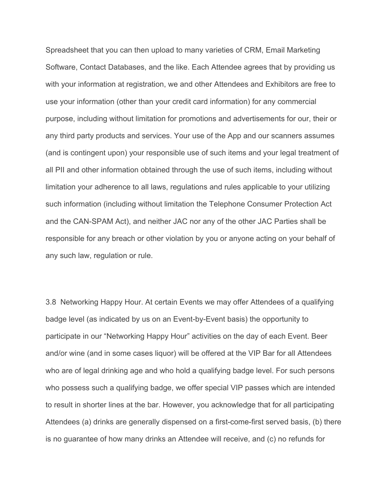Spreadsheet that you can then upload to many varieties of CRM, Email Marketing Software, Contact Databases, and the like. Each Attendee agrees that by providing us with your information at registration, we and other Attendees and Exhibitors are free to use your information (other than your credit card information) for any commercial purpose, including without limitation for promotions and advertisements for our, their or any third party products and services. Your use of the App and our scanners assumes (and is contingent upon) your responsible use of such items and your legal treatment of all PII and other information obtained through the use of such items, including without limitation your adherence to all laws, regulations and rules applicable to your utilizing such information (including without limitation the Telephone Consumer Protection Act and the CAN-SPAM Act), and neither JAC nor any of the other JAC Parties shall be responsible for any breach or other violation by you or anyone acting on your behalf of any such law, regulation or rule.

3.8 Networking Happy Hour. At certain Events we may offer Attendees of a qualifying badge level (as indicated by us on an Event-by-Event basis) the opportunity to participate in our "Networking Happy Hour" activities on the day of each Event. Beer and/or wine (and in some cases liquor) will be offered at the VIP Bar for all Attendees who are of legal drinking age and who hold a qualifying badge level. For such persons who possess such a qualifying badge, we offer special VIP passes which are intended to result in shorter lines at the bar. However, you acknowledge that for all participating Attendees (a) drinks are generally dispensed on a first-come-first served basis, (b) there is no guarantee of how many drinks an Attendee will receive, and (c) no refunds for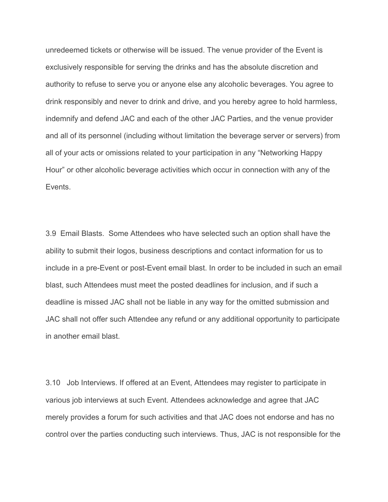unredeemed tickets or otherwise will be issued. The venue provider of the Event is exclusively responsible for serving the drinks and has the absolute discretion and authority to refuse to serve you or anyone else any alcoholic beverages. You agree to drink responsibly and never to drink and drive, and you hereby agree to hold harmless, indemnify and defend JAC and each of the other JAC Parties, and the venue provider and all of its personnel (including without limitation the beverage server or servers) from all of your acts or omissions related to your participation in any "Networking Happy Hour" or other alcoholic beverage activities which occur in connection with any of the Events.

3.9 Email Blasts. Some Attendees who have selected such an option shall have the ability to submit their logos, business descriptions and contact information for us to include in a pre-Event or post-Event email blast. In order to be included in such an email blast, such Attendees must meet the posted deadlines for inclusion, and if such a deadline is missed JAC shall not be liable in any way for the omitted submission and JAC shall not offer such Attendee any refund or any additional opportunity to participate in another email blast.

3.10 Job Interviews. If offered at an Event, Attendees may register to participate in various job interviews at such Event. Attendees acknowledge and agree that JAC merely provides a forum for such activities and that JAC does not endorse and has no control over the parties conducting such interviews. Thus, JAC is not responsible for the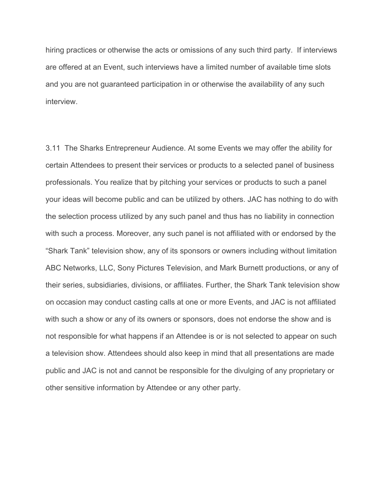hiring practices or otherwise the acts or omissions of any such third party. If interviews are offered at an Event, such interviews have a limited number of available time slots and you are not guaranteed participation in or otherwise the availability of any such interview.

3.11 The Sharks Entrepreneur Audience. At some Events we may offer the ability for certain Attendees to present their services or products to a selected panel of business professionals. You realize that by pitching your services or products to such a panel your ideas will become public and can be utilized by others. JAC has nothing to do with the selection process utilized by any such panel and thus has no liability in connection with such a process. Moreover, any such panel is not affiliated with or endorsed by the "Shark Tank" television show, any of its sponsors or owners including without limitation ABC Networks, LLC, Sony Pictures Television, and Mark Burnett productions, or any of their series, subsidiaries, divisions, or affiliates. Further, the Shark Tank television show on occasion may conduct casting calls at one or more Events, and JAC is not affiliated with such a show or any of its owners or sponsors, does not endorse the show and is not responsible for what happens if an Attendee is or is not selected to appear on such a television show. Attendees should also keep in mind that all presentations are made public and JAC is not and cannot be responsible for the divulging of any proprietary or other sensitive information by Attendee or any other party.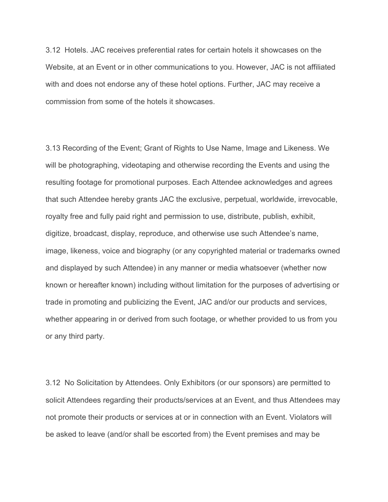3.12 Hotels. JAC receives preferential rates for certain hotels it showcases on the Website, at an Event or in other communications to you. However, JAC is not affiliated with and does not endorse any of these hotel options. Further, JAC may receive a commission from some of the hotels it showcases.

3.13 Recording of the Event; Grant of Rights to Use Name, Image and Likeness. We will be photographing, videotaping and otherwise recording the Events and using the resulting footage for promotional purposes. Each Attendee acknowledges and agrees that such Attendee hereby grants JAC the exclusive, perpetual, worldwide, irrevocable, royalty free and fully paid right and permission to use, distribute, publish, exhibit, digitize, broadcast, display, reproduce, and otherwise use such Attendee's name, image, likeness, voice and biography (or any copyrighted material or trademarks owned and displayed by such Attendee) in any manner or media whatsoever (whether now known or hereafter known) including without limitation for the purposes of advertising or trade in promoting and publicizing the Event, JAC and/or our products and services, whether appearing in or derived from such footage, or whether provided to us from you or any third party.

3.12 No Solicitation by Attendees. Only Exhibitors (or our sponsors) are permitted to solicit Attendees regarding their products/services at an Event, and thus Attendees may not promote their products or services at or in connection with an Event. Violators will be asked to leave (and/or shall be escorted from) the Event premises and may be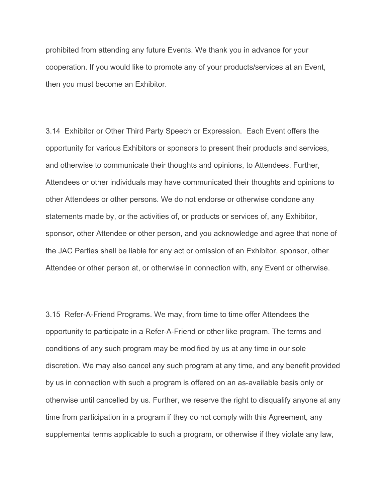prohibited from attending any future Events. We thank you in advance for your cooperation. If you would like to promote any of your products/services at an Event, then you must become an Exhibitor.

3.14 Exhibitor or Other Third Party Speech or Expression. Each Event offers the opportunity for various Exhibitors or sponsors to present their products and services, and otherwise to communicate their thoughts and opinions, to Attendees. Further, Attendees or other individuals may have communicated their thoughts and opinions to other Attendees or other persons. We do not endorse or otherwise condone any statements made by, or the activities of, or products or services of, any Exhibitor, sponsor, other Attendee or other person, and you acknowledge and agree that none of the JAC Parties shall be liable for any act or omission of an Exhibitor, sponsor, other Attendee or other person at, or otherwise in connection with, any Event or otherwise.

3.15 Refer-A-Friend Programs. We may, from time to time offer Attendees the opportunity to participate in a Refer-A-Friend or other like program. The terms and conditions of any such program may be modified by us at any time in our sole discretion. We may also cancel any such program at any time, and any benefit provided by us in connection with such a program is offered on an as-available basis only or otherwise until cancelled by us. Further, we reserve the right to disqualify anyone at any time from participation in a program if they do not comply with this Agreement, any supplemental terms applicable to such a program, or otherwise if they violate any law,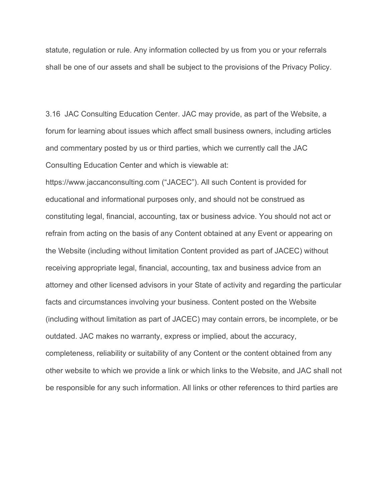statute, regulation or rule. Any information collected by us from you or your referrals shall be one of our assets and shall be subject to the provisions of the Privacy Policy.

3.16 JAC Consulting Education Center. JAC may provide, as part of the Website, a forum for learning about issues which affect small business owners, including articles and commentary posted by us or third parties, which we currently call the JAC Consulting Education Center and which is viewable at:

https://www.jaccanconsulting.com ("JACEC"). All such Content is provided for educational and informational purposes only, and should not be construed as constituting legal, financial, accounting, tax or business advice. You should not act or refrain from acting on the basis of any Content obtained at any Event or appearing on the Website (including without limitation Content provided as part of JACEC) without receiving appropriate legal, financial, accounting, tax and business advice from an attorney and other licensed advisors in your State of activity and regarding the particular facts and circumstances involving your business. Content posted on the Website (including without limitation as part of JACEC) may contain errors, be incomplete, or be outdated. JAC makes no warranty, express or implied, about the accuracy, completeness, reliability or suitability of any Content or the content obtained from any other website to which we provide a link or which links to the Website, and JAC shall not be responsible for any such information. All links or other references to third parties are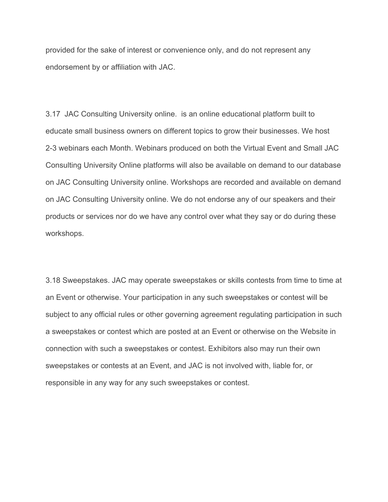provided for the sake of interest or convenience only, and do not represent any endorsement by or affiliation with JAC.

3.17 JAC Consulting University online. is an online educational platform built to educate small business owners on different topics to grow their businesses. We host 2-3 webinars each Month. Webinars produced on both the Virtual Event and Small JAC Consulting University Online platforms will also be available on demand to our database on JAC Consulting University online. Workshops are recorded and available on demand on JAC Consulting University online. We do not endorse any of our speakers and their products or services nor do we have any control over what they say or do during these workshops.

3.18 Sweepstakes. JAC may operate sweepstakes or skills contests from time to time at an Event or otherwise. Your participation in any such sweepstakes or contest will be subject to any official rules or other governing agreement regulating participation in such a sweepstakes or contest which are posted at an Event or otherwise on the Website in connection with such a sweepstakes or contest. Exhibitors also may run their own sweepstakes or contests at an Event, and JAC is not involved with, liable for, or responsible in any way for any such sweepstakes or contest.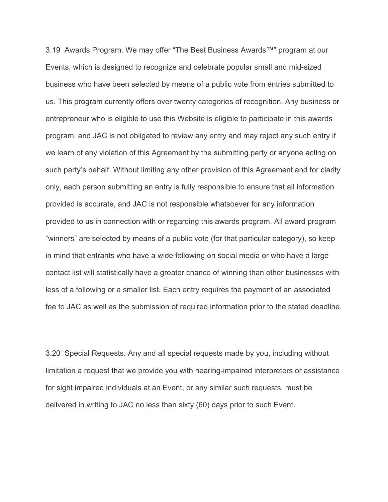3.19 Awards Program. We may offer "The Best Business Awards™" program at our Events, which is designed to recognize and celebrate popular small and mid-sized business who have been selected by means of a public vote from entries submitted to us. This program currently offers over twenty categories of recognition. Any business or entrepreneur who is eligible to use this Website is eligible to participate in this awards program, and JAC is not obligated to review any entry and may reject any such entry if we learn of any violation of this Agreement by the submitting party or anyone acting on such party's behalf. Without limiting any other provision of this Agreement and for clarity only, each person submitting an entry is fully responsible to ensure that all information provided is accurate, and JAC is not responsible whatsoever for any information provided to us in connection with or regarding this awards program. All award program "winners" are selected by means of a public vote (for that particular category), so keep in mind that entrants who have a wide following on social media or who have a large contact list will statistically have a greater chance of winning than other businesses with less of a following or a smaller list. Each entry requires the payment of an associated fee to JAC as well as the submission of required information prior to the stated deadline.

3.20 Special Requests. Any and all special requests made by you, including without limitation a request that we provide you with hearing-impaired interpreters or assistance for sight impaired individuals at an Event, or any similar such requests, must be delivered in writing to JAC no less than sixty (60) days prior to such Event.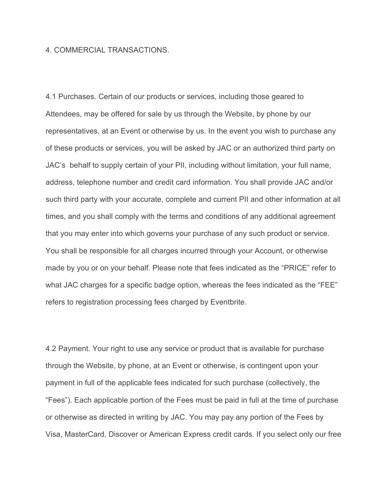#### 4. COMMERCIAL TRANSACTIONS.

4.1 Purchases. Certain of our products or services, including those geared to Attendees, may be offered for sale by us through the Website, by phone by our representatives, at an Event or otherwise by us. In the event you wish to purchase any of these products or services, you will be asked by JAC or an authorized third party on JAC's behalf to supply certain of your PII, including without limitation, your full name, address, telephone number and credit card information. You shall provide JAC and/or such third party with your accurate, complete and current PII and other information at all times, and you shall comply with the terms and conditions of any additional agreement that you may enter into which governs your purchase of any such product or service. You shall be responsible for all charges incurred through your Account, or otherwise made by you or on your behalf. Please note that fees indicated as the "PRICE" refer to what JAC charges for a specific badge option, whereas the fees indicated as the "FEE" refers to registration processing fees charged by Eventbrite.

4.2 Payment. Your right to use any service or product that is available for purchase through the Website, by phone, at an Event or otherwise, is contingent upon your payment in full of the applicable fees indicated for such purchase (collectively, the "Fees"). Each applicable portion of the Fees must be paid in full at the time of purchase or otherwise as directed in writing by JAC. You may pay any portion of the Fees by Visa, MasterCard, Discover or American Express credit cards. If you select only our free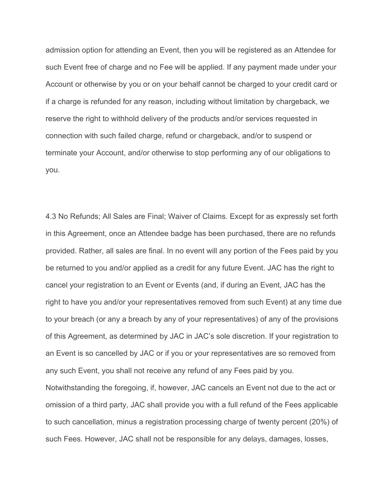admission option for attending an Event, then you will be registered as an Attendee for such Event free of charge and no Fee will be applied. If any payment made under your Account or otherwise by you or on your behalf cannot be charged to your credit card or if a charge is refunded for any reason, including without limitation by chargeback, we reserve the right to withhold delivery of the products and/or services requested in connection with such failed charge, refund or chargeback, and/or to suspend or terminate your Account, and/or otherwise to stop performing any of our obligations to you.

4.3 No Refunds; All Sales are Final; Waiver of Claims. Except for as expressly set forth in this Agreement, once an Attendee badge has been purchased, there are no refunds provided. Rather, all sales are final. In no event will any portion of the Fees paid by you be returned to you and/or applied as a credit for any future Event. JAC has the right to cancel your registration to an Event or Events (and, if during an Event, JAC has the right to have you and/or your representatives removed from such Event) at any time due to your breach (or any a breach by any of your representatives) of any of the provisions of this Agreement, as determined by JAC in JAC's sole discretion. If your registration to an Event is so cancelled by JAC or if you or your representatives are so removed from any such Event, you shall not receive any refund of any Fees paid by you. Notwithstanding the foregoing, if, however, JAC cancels an Event not due to the act or omission of a third party, JAC shall provide you with a full refund of the Fees applicable to such cancellation, minus a registration processing charge of twenty percent (20%) of

such Fees. However, JAC shall not be responsible for any delays, damages, losses,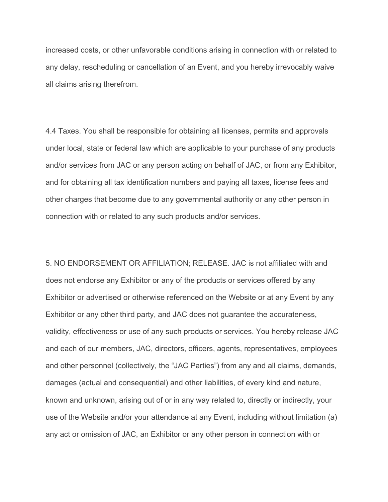increased costs, or other unfavorable conditions arising in connection with or related to any delay, rescheduling or cancellation of an Event, and you hereby irrevocably waive all claims arising therefrom.

4.4 Taxes. You shall be responsible for obtaining all licenses, permits and approvals under local, state or federal law which are applicable to your purchase of any products and/or services from JAC or any person acting on behalf of JAC, or from any Exhibitor, and for obtaining all tax identification numbers and paying all taxes, license fees and other charges that become due to any governmental authority or any other person in connection with or related to any such products and/or services.

5. NO ENDORSEMENT OR AFFILIATION; RELEASE. JAC is not affiliated with and does not endorse any Exhibitor or any of the products or services offered by any Exhibitor or advertised or otherwise referenced on the Website or at any Event by any Exhibitor or any other third party, and JAC does not guarantee the accurateness, validity, effectiveness or use of any such products or services. You hereby release JAC and each of our members, JAC, directors, officers, agents, representatives, employees and other personnel (collectively, the "JAC Parties") from any and all claims, demands, damages (actual and consequential) and other liabilities, of every kind and nature, known and unknown, arising out of or in any way related to, directly or indirectly, your use of the Website and/or your attendance at any Event, including without limitation (a) any act or omission of JAC, an Exhibitor or any other person in connection with or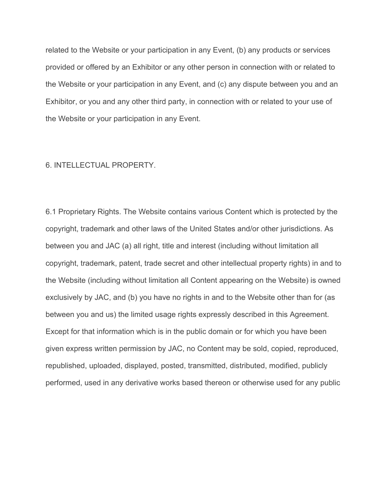related to the Website or your participation in any Event, (b) any products or services provided or offered by an Exhibitor or any other person in connection with or related to the Website or your participation in any Event, and (c) any dispute between you and an Exhibitor, or you and any other third party, in connection with or related to your use of the Website or your participation in any Event.

#### 6. INTELLECTUAL PROPERTY.

6.1 Proprietary Rights. The Website contains various Content which is protected by the copyright, trademark and other laws of the United States and/or other jurisdictions. As between you and JAC (a) all right, title and interest (including without limitation all copyright, trademark, patent, trade secret and other intellectual property rights) in and to the Website (including without limitation all Content appearing on the Website) is owned exclusively by JAC, and (b) you have no rights in and to the Website other than for (as between you and us) the limited usage rights expressly described in this Agreement. Except for that information which is in the public domain or for which you have been given express written permission by JAC, no Content may be sold, copied, reproduced, republished, uploaded, displayed, posted, transmitted, distributed, modified, publicly performed, used in any derivative works based thereon or otherwise used for any public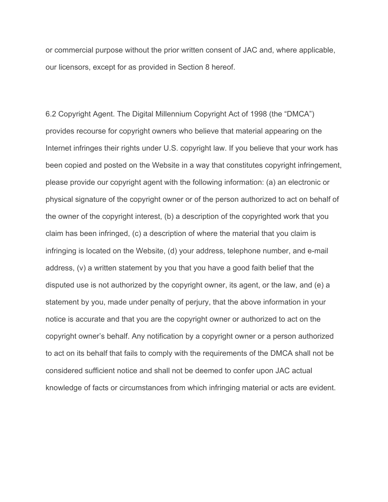or commercial purpose without the prior written consent of JAC and, where applicable, our licensors, except for as provided in Section 8 hereof.

6.2 Copyright Agent. The Digital Millennium Copyright Act of 1998 (the "DMCA") provides recourse for copyright owners who believe that material appearing on the Internet infringes their rights under U.S. copyright law. If you believe that your work has been copied and posted on the Website in a way that constitutes copyright infringement, please provide our copyright agent with the following information: (a) an electronic or physical signature of the copyright owner or of the person authorized to act on behalf of the owner of the copyright interest, (b) a description of the copyrighted work that you claim has been infringed, (c) a description of where the material that you claim is infringing is located on the Website, (d) your address, telephone number, and e-mail address, (v) a written statement by you that you have a good faith belief that the disputed use is not authorized by the copyright owner, its agent, or the law, and (e) a statement by you, made under penalty of perjury, that the above information in your notice is accurate and that you are the copyright owner or authorized to act on the copyright owner's behalf. Any notification by a copyright owner or a person authorized to act on its behalf that fails to comply with the requirements of the DMCA shall not be considered sufficient notice and shall not be deemed to confer upon JAC actual knowledge of facts or circumstances from which infringing material or acts are evident.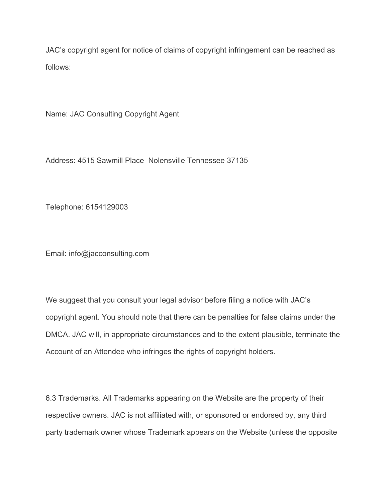JAC's copyright agent for notice of claims of copyright infringement can be reached as follows:

Name: JAC Consulting Copyright Agent

Address: 4515 Sawmill Place Nolensville Tennessee 37135

Telephone: 6154129003

Email: info@jacconsulting.com

We suggest that you consult your legal advisor before filing a notice with JAC's copyright agent. You should note that there can be penalties for false claims under the DMCA. JAC will, in appropriate circumstances and to the extent plausible, terminate the Account of an Attendee who infringes the rights of copyright holders.

6.3 Trademarks. All Trademarks appearing on the Website are the property of their respective owners. JAC is not affiliated with, or sponsored or endorsed by, any third party trademark owner whose Trademark appears on the Website (unless the opposite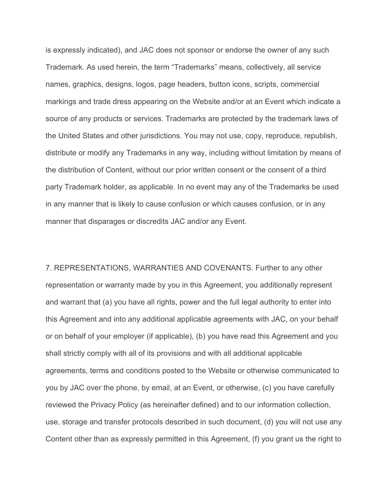is expressly indicated), and JAC does not sponsor or endorse the owner of any such Trademark. As used herein, the term "Trademarks" means, collectively, all service names, graphics, designs, logos, page headers, button icons, scripts, commercial markings and trade dress appearing on the Website and/or at an Event which indicate a source of any products or services. Trademarks are protected by the trademark laws of the United States and other jurisdictions. You may not use, copy, reproduce, republish, distribute or modify any Trademarks in any way, including without limitation by means of the distribution of Content, without our prior written consent or the consent of a third party Trademark holder, as applicable. In no event may any of the Trademarks be used in any manner that is likely to cause confusion or which causes confusion, or in any manner that disparages or discredits JAC and/or any Event.

7. REPRESENTATIONS, WARRANTIES AND COVENANTS. Further to any other representation or warranty made by you in this Agreement, you additionally represent and warrant that (a) you have all rights, power and the full legal authority to enter into this Agreement and into any additional applicable agreements with JAC, on your behalf or on behalf of your employer (if applicable), (b) you have read this Agreement and you shall strictly comply with all of its provisions and with all additional applicable agreements, terms and conditions posted to the Website or otherwise communicated to you by JAC over the phone, by email, at an Event, or otherwise, (c) you have carefully reviewed the Privacy Policy (as hereinafter defined) and to our information collection, use, storage and transfer protocols described in such document, (d) you will not use any Content other than as expressly permitted in this Agreement, (f) you grant us the right to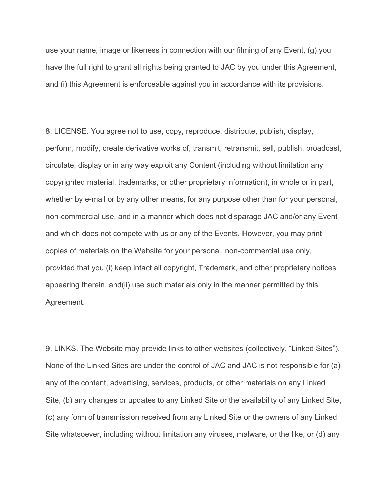use your name, image or likeness in connection with our filming of any Event, (g) you have the full right to grant all rights being granted to JAC by you under this Agreement, and (i) this Agreement is enforceable against you in accordance with its provisions.

8. LICENSE. You agree not to use, copy, reproduce, distribute, publish, display, perform, modify, create derivative works of, transmit, retransmit, sell, publish, broadcast, circulate, display or in any way exploit any Content (including without limitation any copyrighted material, trademarks, or other proprietary information), in whole or in part, whether by e-mail or by any other means, for any purpose other than for your personal, non-commercial use, and in a manner which does not disparage JAC and/or any Event and which does not compete with us or any of the Events. However, you may print copies of materials on the Website for your personal, non-commercial use only, provided that you (i) keep intact all copyright, Trademark, and other proprietary notices appearing therein, and(ii) use such materials only in the manner permitted by this Agreement.

9. LINKS. The Website may provide links to other websites (collectively, "Linked Sites"). None of the Linked Sites are under the control of JAC and JAC is not responsible for (a) any of the content, advertising, services, products, or other materials on any Linked Site, (b) any changes or updates to any Linked Site or the availability of any Linked Site, (c) any form of transmission received from any Linked Site or the owners of any Linked Site whatsoever, including without limitation any viruses, malware, or the like, or (d) any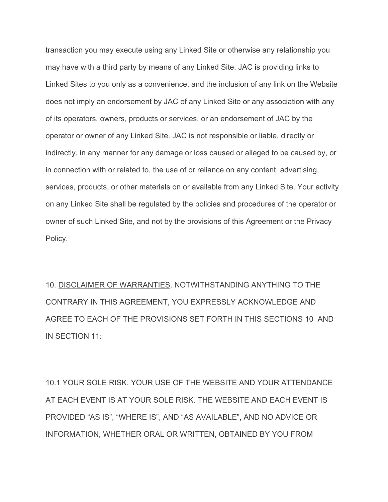transaction you may execute using any Linked Site or otherwise any relationship you may have with a third party by means of any Linked Site. JAC is providing links to Linked Sites to you only as a convenience, and the inclusion of any link on the Website does not imply an endorsement by JAC of any Linked Site or any association with any of its operators, owners, products or services, or an endorsement of JAC by the operator or owner of any Linked Site. JAC is not responsible or liable, directly or indirectly, in any manner for any damage or loss caused or alleged to be caused by, or in connection with or related to, the use of or reliance on any content, advertising, services, products, or other materials on or available from any Linked Site. Your activity on any Linked Site shall be regulated by the policies and procedures of the operator or owner of such Linked Site, and not by the provisions of this Agreement or the Privacy Policy.

10. DISCLAIMER OF WARRANTIES. NOTWITHSTANDING ANYTHING TO THE CONTRARY IN THIS AGREEMENT, YOU EXPRESSLY ACKNOWLEDGE AND AGREE TO EACH OF THE PROVISIONS SET FORTH IN THIS SECTIONS 10 AND IN SECTION 11:

10.1 YOUR SOLE RISK. YOUR USE OF THE WEBSITE AND YOUR ATTENDANCE AT EACH EVENT IS AT YOUR SOLE RISK. THE WEBSITE AND EACH EVENT IS PROVIDED "AS IS", "WHERE IS", AND "AS AVAILABLE", AND NO ADVICE OR INFORMATION, WHETHER ORAL OR WRITTEN, OBTAINED BY YOU FROM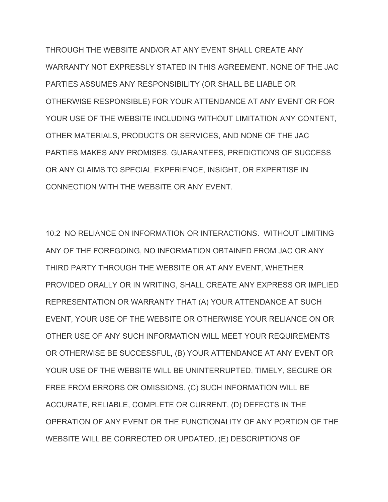THROUGH THE WEBSITE AND/OR AT ANY EVENT SHALL CREATE ANY WARRANTY NOT EXPRESSLY STATED IN THIS AGREEMENT. NONE OF THE JAC PARTIES ASSUMES ANY RESPONSIBILITY (OR SHALL BE LIABLE OR OTHERWISE RESPONSIBLE) FOR YOUR ATTENDANCE AT ANY EVENT OR FOR YOUR USE OF THE WEBSITE INCLUDING WITHOUT LIMITATION ANY CONTENT, OTHER MATERIALS, PRODUCTS OR SERVICES, AND NONE OF THE JAC PARTIES MAKES ANY PROMISES, GUARANTEES, PREDICTIONS OF SUCCESS OR ANY CLAIMS TO SPECIAL EXPERIENCE, INSIGHT, OR EXPERTISE IN CONNECTION WITH THE WEBSITE OR ANY EVENT.

10.2 NO RELIANCE ON INFORMATION OR INTERACTIONS. WITHOUT LIMITING ANY OF THE FOREGOING, NO INFORMATION OBTAINED FROM JAC OR ANY THIRD PARTY THROUGH THE WEBSITE OR AT ANY EVENT, WHETHER PROVIDED ORALLY OR IN WRITING, SHALL CREATE ANY EXPRESS OR IMPLIED REPRESENTATION OR WARRANTY THAT (A) YOUR ATTENDANCE AT SUCH EVENT, YOUR USE OF THE WEBSITE OR OTHERWISE YOUR RELIANCE ON OR OTHER USE OF ANY SUCH INFORMATION WILL MEET YOUR REQUIREMENTS OR OTHERWISE BE SUCCESSFUL, (B) YOUR ATTENDANCE AT ANY EVENT OR YOUR USE OF THE WEBSITE WILL BE UNINTERRUPTED, TIMELY, SECURE OR FREE FROM ERRORS OR OMISSIONS, (C) SUCH INFORMATION WILL BE ACCURATE, RELIABLE, COMPLETE OR CURRENT, (D) DEFECTS IN THE OPERATION OF ANY EVENT OR THE FUNCTIONALITY OF ANY PORTION OF THE WEBSITE WILL BE CORRECTED OR UPDATED, (E) DESCRIPTIONS OF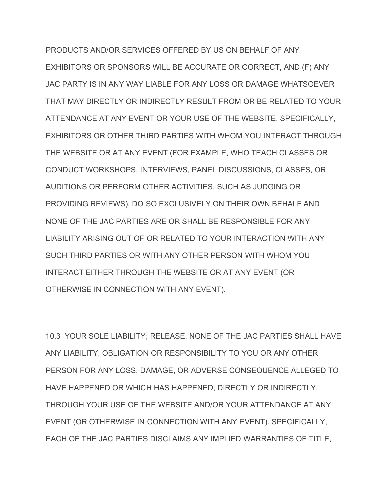PRODUCTS AND/OR SERVICES OFFERED BY US ON BEHALF OF ANY EXHIBITORS OR SPONSORS WILL BE ACCURATE OR CORRECT, AND (F) ANY JAC PARTY IS IN ANY WAY LIABLE FOR ANY LOSS OR DAMAGE WHATSOEVER THAT MAY DIRECTLY OR INDIRECTLY RESULT FROM OR BE RELATED TO YOUR ATTENDANCE AT ANY EVENT OR YOUR USE OF THE WEBSITE. SPECIFICALLY, EXHIBITORS OR OTHER THIRD PARTIES WITH WHOM YOU INTERACT THROUGH THE WEBSITE OR AT ANY EVENT (FOR EXAMPLE, WHO TEACH CLASSES OR CONDUCT WORKSHOPS, INTERVIEWS, PANEL DISCUSSIONS, CLASSES, OR AUDITIONS OR PERFORM OTHER ACTIVITIES, SUCH AS JUDGING OR PROVIDING REVIEWS), DO SO EXCLUSIVELY ON THEIR OWN BEHALF AND NONE OF THE JAC PARTIES ARE OR SHALL BE RESPONSIBLE FOR ANY LIABILITY ARISING OUT OF OR RELATED TO YOUR INTERACTION WITH ANY SUCH THIRD PARTIES OR WITH ANY OTHER PERSON WITH WHOM YOU INTERACT EITHER THROUGH THE WEBSITE OR AT ANY EVENT (OR OTHERWISE IN CONNECTION WITH ANY EVENT).

10.3 YOUR SOLE LIABILITY; RELEASE. NONE OF THE JAC PARTIES SHALL HAVE ANY LIABILITY, OBLIGATION OR RESPONSIBILITY TO YOU OR ANY OTHER PERSON FOR ANY LOSS, DAMAGE, OR ADVERSE CONSEQUENCE ALLEGED TO HAVE HAPPENED OR WHICH HAS HAPPENED, DIRECTLY OR INDIRECTLY, THROUGH YOUR USE OF THE WEBSITE AND/OR YOUR ATTENDANCE AT ANY EVENT (OR OTHERWISE IN CONNECTION WITH ANY EVENT). SPECIFICALLY, EACH OF THE JAC PARTIES DISCLAIMS ANY IMPLIED WARRANTIES OF TITLE,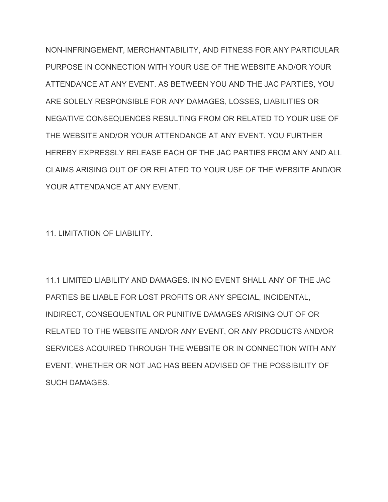NON-INFRINGEMENT, MERCHANTABILITY, AND FITNESS FOR ANY PARTICULAR PURPOSE IN CONNECTION WITH YOUR USE OF THE WEBSITE AND/OR YOUR ATTENDANCE AT ANY EVENT. AS BETWEEN YOU AND THE JAC PARTIES, YOU ARE SOLELY RESPONSIBLE FOR ANY DAMAGES, LOSSES, LIABILITIES OR NEGATIVE CONSEQUENCES RESULTING FROM OR RELATED TO YOUR USE OF THE WEBSITE AND/OR YOUR ATTENDANCE AT ANY EVENT. YOU FURTHER HEREBY EXPRESSLY RELEASE EACH OF THE JAC PARTIES FROM ANY AND ALL CLAIMS ARISING OUT OF OR RELATED TO YOUR USE OF THE WEBSITE AND/OR YOUR ATTENDANCE AT ANY EVENT.

11. LIMITATION OF LIABILITY.

11.1 LIMITED LIABILITY AND DAMAGES. IN NO EVENT SHALL ANY OF THE JAC PARTIES BE LIABLE FOR LOST PROFITS OR ANY SPECIAL, INCIDENTAL, INDIRECT, CONSEQUENTIAL OR PUNITIVE DAMAGES ARISING OUT OF OR RELATED TO THE WEBSITE AND/OR ANY EVENT, OR ANY PRODUCTS AND/OR SERVICES ACQUIRED THROUGH THE WEBSITE OR IN CONNECTION WITH ANY EVENT, WHETHER OR NOT JAC HAS BEEN ADVISED OF THE POSSIBILITY OF SUCH DAMAGES.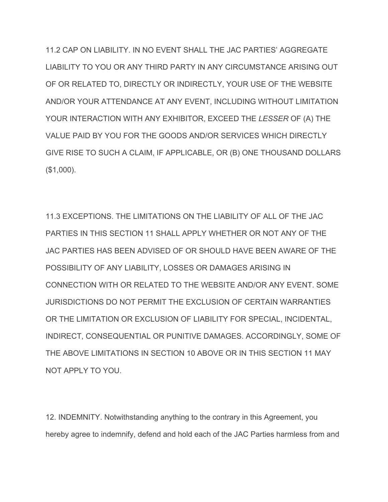11.2 CAP ON LIABILITY. IN NO EVENT SHALL THE JAC PARTIES' AGGREGATE LIABILITY TO YOU OR ANY THIRD PARTY IN ANY CIRCUMSTANCE ARISING OUT OF OR RELATED TO, DIRECTLY OR INDIRECTLY, YOUR USE OF THE WEBSITE AND/OR YOUR ATTENDANCE AT ANY EVENT, INCLUDING WITHOUT LIMITATION YOUR INTERACTION WITH ANY EXHIBITOR, EXCEED THE *LESSER* OF (A) THE VALUE PAID BY YOU FOR THE GOODS AND/OR SERVICES WHICH DIRECTLY GIVE RISE TO SUCH A CLAIM, IF APPLICABLE, OR (B) ONE THOUSAND DOLLARS (\$1,000).

11.3 EXCEPTIONS. THE LIMITATIONS ON THE LIABILITY OF ALL OF THE JAC PARTIES IN THIS SECTION 11 SHALL APPLY WHETHER OR NOT ANY OF THE JAC PARTIES HAS BEEN ADVISED OF OR SHOULD HAVE BEEN AWARE OF THE POSSIBILITY OF ANY LIABILITY, LOSSES OR DAMAGES ARISING IN CONNECTION WITH OR RELATED TO THE WEBSITE AND/OR ANY EVENT. SOME JURISDICTIONS DO NOT PERMIT THE EXCLUSION OF CERTAIN WARRANTIES OR THE LIMITATION OR EXCLUSION OF LIABILITY FOR SPECIAL, INCIDENTAL, INDIRECT, CONSEQUENTIAL OR PUNITIVE DAMAGES. ACCORDINGLY, SOME OF THE ABOVE LIMITATIONS IN SECTION 10 ABOVE OR IN THIS SECTION 11 MAY NOT APPLY TO YOU.

12. INDEMNITY. Notwithstanding anything to the contrary in this Agreement, you hereby agree to indemnify, defend and hold each of the JAC Parties harmless from and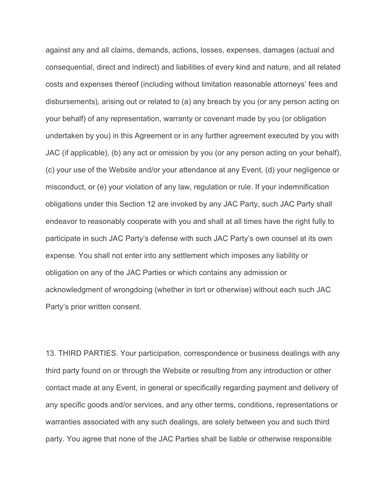against any and all claims, demands, actions, losses, expenses, damages (actual and consequential, direct and indirect) and liabilities of every kind and nature, and all related costs and expenses thereof (including without limitation reasonable attorneys' fees and disbursements), arising out or related to (a) any breach by you (or any person acting on your behalf) of any representation, warranty or covenant made by you (or obligation undertaken by you) in this Agreement or in any further agreement executed by you with JAC (if applicable), (b) any act or omission by you (or any person acting on your behalf), (c) your use of the Website and/or your attendance at any Event, (d) your negligence or misconduct, or (e) your violation of any law, regulation or rule. If your indemnification obligations under this Section 12 are invoked by any JAC Party, such JAC Party shall endeavor to reasonably cooperate with you and shall at all times have the right fully to participate in such JAC Party's defense with such JAC Party's own counsel at its own expense. You shall not enter into any settlement which imposes any liability or obligation on any of the JAC Parties or which contains any admission or acknowledgment of wrongdoing (whether in tort or otherwise) without each such JAC Party's prior written consent.

13. THIRD PARTIES. Your participation, correspondence or business dealings with any third party found on or through the Website or resulting from any introduction or other contact made at any Event, in general or specifically regarding payment and delivery of any specific goods and/or services, and any other terms, conditions, representations or warranties associated with any such dealings, are solely between you and such third party. You agree that none of the JAC Parties shall be liable or otherwise responsible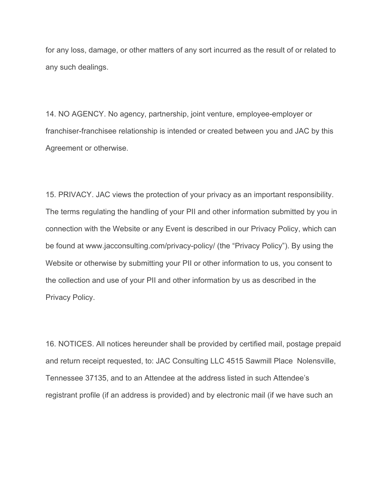for any loss, damage, or other matters of any sort incurred as the result of or related to any such dealings.

14. NO AGENCY. No agency, partnership, joint venture, employee-employer or franchiser-franchisee relationship is intended or created between you and JAC by this Agreement or otherwise.

15. PRIVACY. JAC views the protection of your privacy as an important responsibility. The terms regulating the handling of your PII and other information submitted by you in connection with the Website or any Event is described in our Privacy Policy, which can be found at www.jacconsulting.com/privacy-policy/ (the "Privacy Policy"). By using the Website or otherwise by submitting your PII or other information to us, you consent to the collection and use of your PII and other information by us as described in the Privacy Policy.

16. NOTICES. All notices hereunder shall be provided by certified mail, postage prepaid and return receipt requested, to: JAC Consulting LLC 4515 Sawmill Place Nolensville, Tennessee 37135, and to an Attendee at the address listed in such Attendee's registrant profile (if an address is provided) and by electronic mail (if we have such an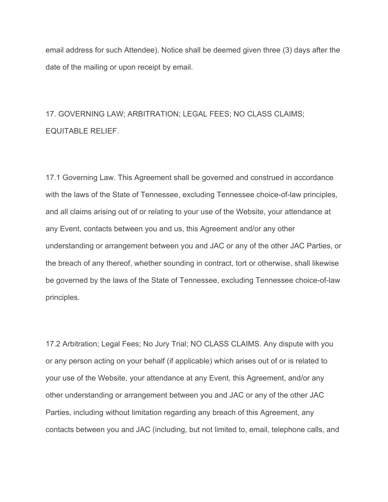email address for such Attendee). Notice shall be deemed given three (3) days after the date of the mailing or upon receipt by email.

## 17. GOVERNING LAW; ARBITRATION; LEGAL FEES; NO CLASS CLAIMS; EQUITABLE RELIEF.

17.1 Governing Law. This Agreement shall be governed and construed in accordance with the laws of the State of Tennessee, excluding Tennessee choice-of-law principles, and all claims arising out of or relating to your use of the Website, your attendance at any Event, contacts between you and us, this Agreement and/or any other understanding or arrangement between you and JAC or any of the other JAC Parties, or the breach of any thereof, whether sounding in contract, tort or otherwise, shall likewise be governed by the laws of the State of Tennessee, excluding Tennessee choice-of-law principles.

17.2 Arbitration; Legal Fees; No Jury Trial; NO CLASS CLAIMS. Any dispute with you or any person acting on your behalf (if applicable) which arises out of or is related to your use of the Website, your attendance at any Event, this Agreement, and/or any other understanding or arrangement between you and JAC or any of the other JAC Parties, including without limitation regarding any breach of this Agreement, any contacts between you and JAC (including, but not limited to, email, telephone calls, and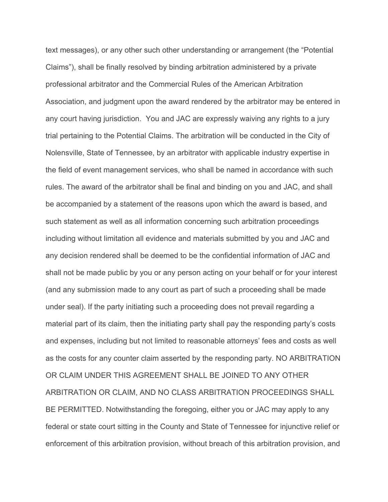text messages), or any other such other understanding or arrangement (the "Potential Claims"), shall be finally resolved by binding arbitration administered by a private professional arbitrator and the Commercial Rules of the American Arbitration Association, and judgment upon the award rendered by the arbitrator may be entered in any court having jurisdiction. You and JAC are expressly waiving any rights to a jury trial pertaining to the Potential Claims. The arbitration will be conducted in the City of Nolensville, State of Tennessee, by an arbitrator with applicable industry expertise in the field of event management services, who shall be named in accordance with such rules. The award of the arbitrator shall be final and binding on you and JAC, and shall be accompanied by a statement of the reasons upon which the award is based, and such statement as well as all information concerning such arbitration proceedings including without limitation all evidence and materials submitted by you and JAC and any decision rendered shall be deemed to be the confidential information of JAC and shall not be made public by you or any person acting on your behalf or for your interest (and any submission made to any court as part of such a proceeding shall be made under seal). If the party initiating such a proceeding does not prevail regarding a material part of its claim, then the initiating party shall pay the responding party's costs and expenses, including but not limited to reasonable attorneys' fees and costs as well as the costs for any counter claim asserted by the responding party. NO ARBITRATION OR CLAIM UNDER THIS AGREEMENT SHALL BE JOINED TO ANY OTHER ARBITRATION OR CLAIM, AND NO CLASS ARBITRATION PROCEEDINGS SHALL BE PERMITTED. Notwithstanding the foregoing, either you or JAC may apply to any federal or state court sitting in the County and State of Tennessee for injunctive relief or enforcement of this arbitration provision, without breach of this arbitration provision, and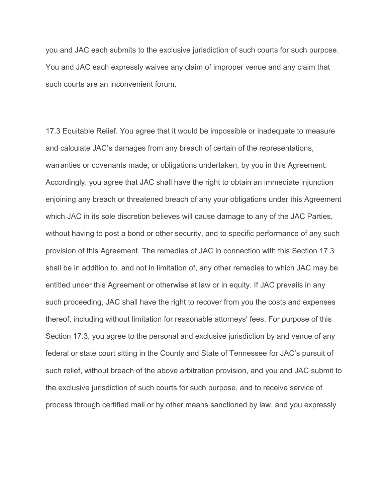you and JAC each submits to the exclusive jurisdiction of such courts for such purpose. You and JAC each expressly waives any claim of improper venue and any claim that such courts are an inconvenient forum.

17.3 Equitable Relief. You agree that it would be impossible or inadequate to measure and calculate JAC's damages from any breach of certain of the representations, warranties or covenants made, or obligations undertaken, by you in this Agreement. Accordingly, you agree that JAC shall have the right to obtain an immediate injunction enjoining any breach or threatened breach of any your obligations under this Agreement which JAC in its sole discretion believes will cause damage to any of the JAC Parties, without having to post a bond or other security, and to specific performance of any such provision of this Agreement. The remedies of JAC in connection with this Section 17.3 shall be in addition to, and not in limitation of, any other remedies to which JAC may be entitled under this Agreement or otherwise at law or in equity. If JAC prevails in any such proceeding, JAC shall have the right to recover from you the costs and expenses thereof, including without limitation for reasonable attorneys' fees. For purpose of this Section 17.3, you agree to the personal and exclusive jurisdiction by and venue of any federal or state court sitting in the County and State of Tennessee for JAC's pursuit of such relief, without breach of the above arbitration provision, and you and JAC submit to the exclusive jurisdiction of such courts for such purpose, and to receive service of process through certified mail or by other means sanctioned by law, and you expressly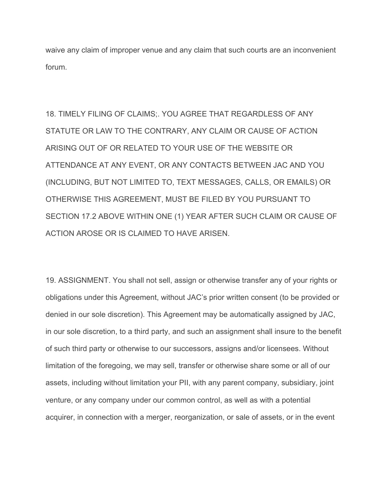waive any claim of improper venue and any claim that such courts are an inconvenient forum.

18. TIMELY FILING OF CLAIMS;. YOU AGREE THAT REGARDLESS OF ANY STATUTE OR LAW TO THE CONTRARY, ANY CLAIM OR CAUSE OF ACTION ARISING OUT OF OR RELATED TO YOUR USE OF THE WEBSITE OR ATTENDANCE AT ANY EVENT, OR ANY CONTACTS BETWEEN JAC AND YOU (INCLUDING, BUT NOT LIMITED TO, TEXT MESSAGES, CALLS, OR EMAILS) OR OTHERWISE THIS AGREEMENT, MUST BE FILED BY YOU PURSUANT TO SECTION 17.2 ABOVE WITHIN ONE (1) YEAR AFTER SUCH CLAIM OR CAUSE OF ACTION AROSE OR IS CLAIMED TO HAVE ARISEN.

19. ASSIGNMENT. You shall not sell, assign or otherwise transfer any of your rights or obligations under this Agreement, without JAC's prior written consent (to be provided or denied in our sole discretion). This Agreement may be automatically assigned by JAC, in our sole discretion, to a third party, and such an assignment shall insure to the benefit of such third party or otherwise to our successors, assigns and/or licensees. Without limitation of the foregoing, we may sell, transfer or otherwise share some or all of our assets, including without limitation your PII, with any parent company, subsidiary, joint venture, or any company under our common control, as well as with a potential acquirer, in connection with a merger, reorganization, or sale of assets, or in the event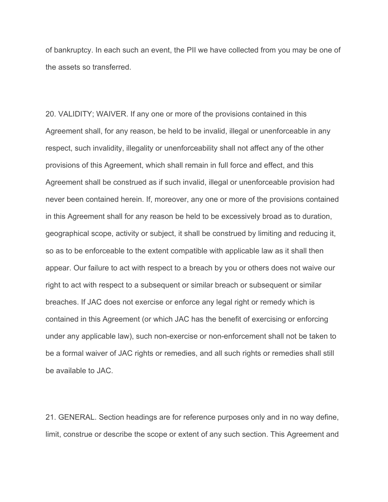of bankruptcy. In each such an event, the PII we have collected from you may be one of the assets so transferred.

20. VALIDITY; WAIVER. If any one or more of the provisions contained in this Agreement shall, for any reason, be held to be invalid, illegal or unenforceable in any respect, such invalidity, illegality or unenforceability shall not affect any of the other provisions of this Agreement, which shall remain in full force and effect, and this Agreement shall be construed as if such invalid, illegal or unenforceable provision had never been contained herein. If, moreover, any one or more of the provisions contained in this Agreement shall for any reason be held to be excessively broad as to duration, geographical scope, activity or subject, it shall be construed by limiting and reducing it, so as to be enforceable to the extent compatible with applicable law as it shall then appear. Our failure to act with respect to a breach by you or others does not waive our right to act with respect to a subsequent or similar breach or subsequent or similar breaches. If JAC does not exercise or enforce any legal right or remedy which is contained in this Agreement (or which JAC has the benefit of exercising or enforcing under any applicable law), such non-exercise or non-enforcement shall not be taken to be a formal waiver of JAC rights or remedies, and all such rights or remedies shall still be available to JAC.

21. GENERAL. Section headings are for reference purposes only and in no way define, limit, construe or describe the scope or extent of any such section. This Agreement and